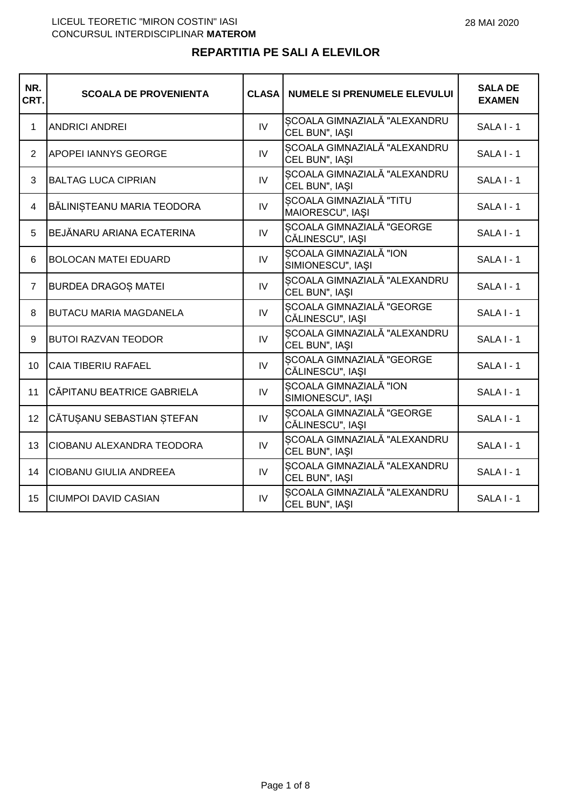| NR.<br>CRT.     | <b>SCOALA DE PROVENIENTA</b>  | <b>CLASA</b>   | <b>NUMELE SI PRENUMELE ELEVULUI</b>                | <b>SALA DE</b><br><b>EXAMEN</b> |
|-----------------|-------------------------------|----------------|----------------------------------------------------|---------------------------------|
| $\mathbf 1$     | <b>ANDRICI ANDREI</b>         | $\overline{N}$ | SCOALA GIMNAZIALĂ "ALEXANDRU<br>CEL BUN", IAŞI     | SALA I - 1                      |
| 2               | APOPEI IANNYS GEORGE          | IV.            | SCOALA GIMNAZIALĂ "ALEXANDRU<br>CEL BUN", IAŞI     | SALA I - 1                      |
| 3               | <b>BALTAG LUCA CIPRIAN</b>    | IV             | SCOALA GIMNAZIALĂ "ALEXANDRU<br>CEL BUN", IAŞI     | SALA I - 1                      |
| 4               | BĂLINIȘTEANU MARIA TEODORA    | IV.            | <b>SCOALA GIMNAZIALĂ "TITU</b><br>MAIORESCU", IAȘI | SALA I - 1                      |
| 5               | BEJĂNARU ARIANA ECATERINA     | IV             | SCOALA GIMNAZIALĂ "GEORGE<br>CĂLINESCU", IAȘI      | SALA I - 1                      |
| 6               | <b>BOLOCAN MATEI EDUARD</b>   | IV             | <b>SCOALA GIMNAZIALĂ "ION</b><br>SIMIONESCU", IAŞI | SALA I - 1                      |
| $\overline{7}$  | <b>BURDEA DRAGOS MATEI</b>    | IV             | SCOALA GIMNAZIALĂ "ALEXANDRU<br>CEL BUN", IAŞI     | SALA I - 1                      |
| 8               | <b>BUTACU MARIA MAGDANELA</b> | IV             | SCOALA GIMNAZIALĂ "GEORGE<br>CĂLINESCU", IAȘI      | SALA I - 1                      |
| 9               | <b>BUTOI RAZVAN TEODOR</b>    | IV             | SCOALA GIMNAZIALĂ "ALEXANDRU<br>CEL BUN", IAŞI     | <b>SALA I - 1</b>               |
| 10 <sup>1</sup> | <b>CAIA TIBERIU RAFAEL</b>    | IV             | SCOALA GIMNAZIALĂ "GEORGE<br>CĂLINESCU", IAȘI      | SALA I - 1                      |
| 11              | CĂPITANU BEATRICE GABRIELA    | IV             | ȘCOALA GIMNAZIALĂ "ION<br>SIMIONESCU", IAŞI        | SALA I - 1                      |
| 12              | CĂTUȘANU SEBASTIAN ȘTEFAN     | IV             | SCOALA GIMNAZIALĂ "GEORGE<br>CĂLINESCU", IAȘI      | SALA I - 1                      |
| 13              | CIOBANU ALEXANDRA TEODORA     | IV             | SCOALA GIMNAZIALĂ "ALEXANDRU<br>CEL BUN", IAŞI     | $SALA I - 1$                    |
| 14              | CIOBANU GIULIA ANDREEA        | IV             | SCOALA GIMNAZIALĂ "ALEXANDRU<br>CEL BUN", IAŞI     | SALA I - 1                      |
| 15              | <b>CIUMPOI DAVID CASIAN</b>   | IV             | SCOALA GIMNAZIALĂ "ALEXANDRU<br>CEL BUN", IAŞI     | SALA I - 1                      |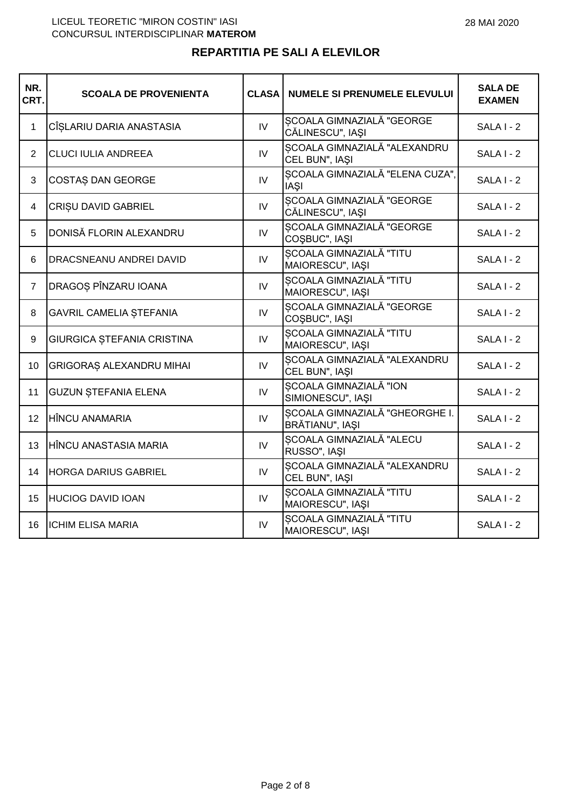| NR.<br>CRT.    | <b>SCOALA DE PROVENIENTA</b>   | <b>CLASA</b> | <b>NUMELE SI PRENUMELE ELEVULUI</b>                | <b>SALA DE</b><br><b>EXAMEN</b> |
|----------------|--------------------------------|--------------|----------------------------------------------------|---------------------------------|
| $\mathbf{1}$   | CÎŞLARIU DARIA ANASTASIA       | IV           | SCOALA GIMNAZIALĂ "GEORGE<br>CĂLINESCU", IAȘI      | $SALA I - 2$                    |
| $\overline{2}$ | <b>CLUCI IULIA ANDREEA</b>     | IV           | SCOALA GIMNAZIALĂ "ALEXANDRU<br>CEL BUN", IAŞI     | $SALA$ $-2$                     |
| 3              | COSTAS DAN GEORGE              | IV           | SCOALA GIMNAZIALĂ "ELENA CUZA",<br><b>IAŞI</b>     | SALA I - 2                      |
| 4              | CRISU DAVID GABRIEL            | IV           | SCOALA GIMNAZIALĂ "GEORGE<br>CĂLINESCU", IAȘI      | SALA I - 2                      |
| 5              | DONISĂ FLORIN ALEXANDRU        | IV           | SCOALA GIMNAZIALĂ "GEORGE<br>COŞBUC", IAŞI         | $SALA$ $-2$                     |
| 6              | DRACSNEANU ANDREI DAVID        | IV           | ȘCOALA GIMNAZIALĂ "TITU<br>MAIORESCU", IAŞI        | <b>SALA I - 2</b>               |
| $\overline{7}$ | DRAGOS PÎNZARU IOANA           | IV           | SCOALA GIMNAZIALĂ "TITU<br>MAIORESCU", IAŞI        | SALA I - 2                      |
| 8              | <b>GAVRIL CAMELIA STEFANIA</b> | IV           | SCOALA GIMNAZIALĂ "GEORGE<br>COŞBUC", IAŞI         | SALA I - 2                      |
| 9              | GIURGICA ȘTEFANIA CRISTINA     | IV           | <b>SCOALA GIMNAZIALĂ "TITU</b><br>MAIORESCU", IAȘI | SALA I - 2                      |
| 10             | GRIGORAȘ ALEXANDRU MIHAI       | IV           | SCOALA GIMNAZIALĂ "ALEXANDRU<br>CEL BUN", IAŞI     | SALA I - 2                      |
| 11             | <b>GUZUN STEFANIA ELENA</b>    | IV           | SCOALA GIMNAZIALĂ "ION<br>SIMIONESCU", IAŞI        | SALA I - 2                      |
| 12             | <b>HÎNCU ANAMARIA</b>          | IV.          | SCOALA GIMNAZIALĂ "GHEORGHE I.<br>BRĂTIANU", IAȘI  | $SALA$ $-2$                     |
| 13             | HÎNCU ANASTASIA MARIA          | IV           | SCOALA GIMNAZIALĂ "ALECU<br>RUSSO", IAŞI           | SALA I - 2                      |
| 14             | <b>HORGA DARIUS GABRIEL</b>    | IV           | SCOALA GIMNAZIALĂ "ALEXANDRU<br>CEL BUN", IAŞI     | SALA I - 2                      |
| 15             | <b>HUCIOG DAVID IOAN</b>       | IV.          | SCOALA GIMNAZIALĂ "TITU<br>MAIORESCU", IAŞI        | SALA I - 2                      |
| 16             | <b>ICHIM ELISA MARIA</b>       | IV           | SCOALA GIMNAZIALĂ "TITU<br>MAIORESCU", IAȘI        | SALA I - 2                      |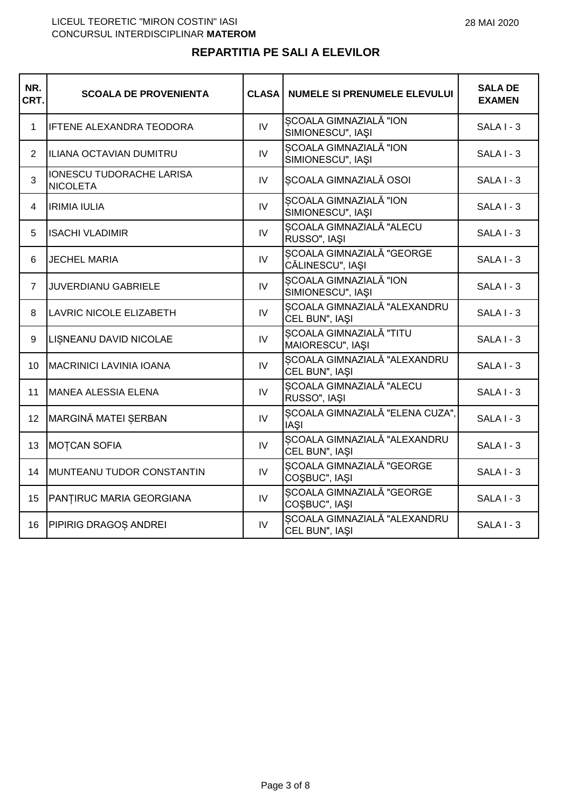| NR.<br>CRT.    | <b>SCOALA DE PROVENIENTA</b>                | <b>CLASA</b> | <b>NUMELE SI PRENUMELE ELEVULUI</b>            | <b>SALA DE</b><br><b>EXAMEN</b> |
|----------------|---------------------------------------------|--------------|------------------------------------------------|---------------------------------|
| 1              | <b>IFTENE ALEXANDRA TEODORA</b>             | IV           | SCOALA GIMNAZIALĂ "ION<br>SIMIONESCU", IAŞI    | SALA I - 3                      |
| $\overline{2}$ | ILIANA OCTAVIAN DUMITRU                     | IV           | SCOALA GIMNAZIALĂ "ION<br>SIMIONESCU", IAŞI    | $SALA I - 3$                    |
| 3              | IONESCU TUDORACHE LARISA<br><b>NICOLETA</b> | IV           | <b>SCOALA GIMNAZIALĂ OSOI</b>                  | $SALA I - 3$                    |
| $\overline{4}$ | <b>IRIMIA IULIA</b>                         | IV           | SCOALA GIMNAZIALĂ "ION<br>SIMIONESCU", IAŞI    | SALA I - 3                      |
| 5              | <b>ISACHI VLADIMIR</b>                      | IV           | SCOALA GIMNAZIALĂ "ALECU<br>RUSSO", IAŞI       | SALA I - 3                      |
| 6              | <b>JECHEL MARIA</b>                         | IV           | SCOALA GIMNAZIALĂ "GEORGE<br>CĂLINESCU", IAȘI  | $SALA I - 3$                    |
| $\overline{7}$ | <b>JUVERDIANU GABRIELE</b>                  | IV.          | SCOALA GIMNAZIALĂ "ION<br>SIMIONESCU", IAŞI    | $SALA I - 3$                    |
| 8              | LAVRIC NICOLE ELIZABETH                     | IV           | SCOALA GIMNAZIALĂ "ALEXANDRU<br>CEL BUN", IAŞI | SALA I - 3                      |
| 9              | LISNEANU DAVID NICOLAE                      | IV           | SCOALA GIMNAZIALĂ "TITU<br>MAIORESCU", IAȘI    | $SALA I - 3$                    |
| 10             | <b>MACRINICI LAVINIA IOANA</b>              | IV           | SCOALA GIMNAZIALĂ "ALEXANDRU<br>CEL BUN", IAŞI | SALA I - 3                      |
| 11             | MANEA ALESSIA ELENA                         | IV           | SCOALA GIMNAZIALĂ "ALECU<br>RUSSO", IAŞI       | $SALA I - 3$                    |
| 12             | MARGINĂ MATEI ȘERBAN                        | IV           | SCOALA GIMNAZIALĂ "ELENA CUZA",<br><b>IAŞI</b> | SALA I - 3                      |
| 13             | <b>MOTCAN SOFIA</b>                         | IV           | SCOALA GIMNAZIALĂ "ALEXANDRU<br>CEL BUN", IAŞI | SALA I - 3                      |
| 14             | MUNTEANU TUDOR CONSTANTIN                   | IV.          | SCOALA GIMNAZIALĂ "GEORGE<br>COŞBUC", IAŞI     | SALA I - 3                      |
| 15             | PANȚIRUC MARIA GEORGIANA                    | IV           | SCOALA GIMNAZIALĂ "GEORGE<br>COŞBUC", IAŞI     | SALA I - 3                      |
| 16             | PIPIRIG DRAGOȘ ANDREI                       | IV           | SCOALA GIMNAZIALĂ "ALEXANDRU<br>CEL BUN", IAŞI | SALA I - 3                      |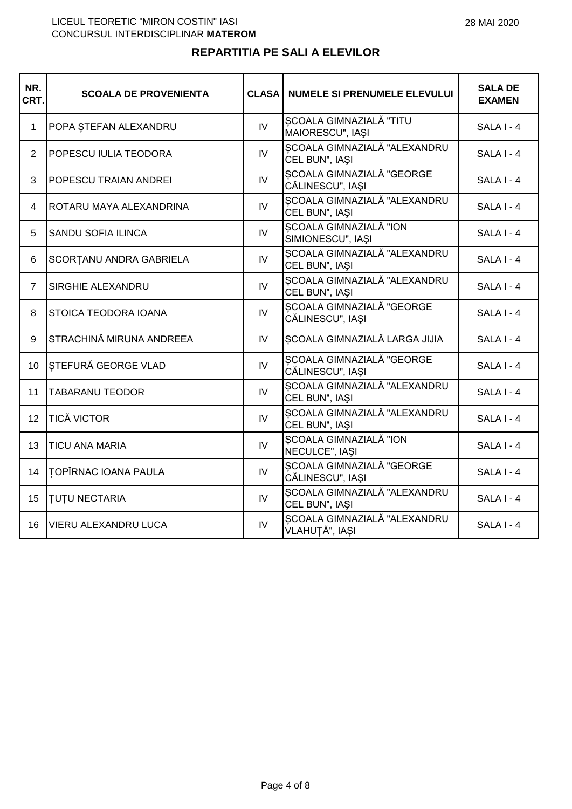| NR.<br>CRT.    | <b>SCOALA DE PROVENIENTA</b> | <b>CLASA</b>   | <b>NUMELE SI PRENUMELE ELEVULUI</b>            | <b>SALA DE</b><br><b>EXAMEN</b> |
|----------------|------------------------------|----------------|------------------------------------------------|---------------------------------|
| 1              | POPA ȘTEFAN ALEXANDRU        | IV             | SCOALA GIMNAZIALĂ "TITU<br>MAIORESCU", IAȘI    | $SALAI - 4$                     |
| $\overline{2}$ | POPESCU IULIA TEODORA        | IV             | SCOALA GIMNAZIALĂ "ALEXANDRU<br>CEL BUN", IAŞI | SALA I - 4                      |
| 3              | POPESCU TRAIAN ANDREI        | IV             | SCOALA GIMNAZIALĂ "GEORGE<br>CĂLINESCU", IAȘI  | SALA I - 4                      |
| 4              | ROTARU MAYA ALEXANDRINA      | IV             | SCOALA GIMNAZIALĂ "ALEXANDRU<br>CEL BUN", IAŞI | SALA I - 4                      |
| 5              | <b>SANDU SOFIA ILINCA</b>    | IV             | SCOALA GIMNAZIALĂ "ION<br>SIMIONESCU", IAŞI    | SALA I - 4                      |
| 6              | SCORTANU ANDRA GABRIELA      | $\mathsf{IV}$  | SCOALA GIMNAZIALĂ "ALEXANDRU<br>CEL BUN", IAŞI | SALA I - 4                      |
| $\overline{7}$ | SIRGHIE ALEXANDRU            | IV.            | SCOALA GIMNAZIALĂ "ALEXANDRU<br>CEL BUN", IAŞI | $SALAI - 4$                     |
| 8              | STOICA TEODORA IOANA         | IV             | SCOALA GIMNAZIALĂ "GEORGE<br>CĂLINESCU", IAȘI  | SALA I - 4                      |
| 9              | STRACHINĂ MIRUNA ANDREEA     | IV             | SCOALA GIMNAZIALĂ LARGA JIJIA                  | $SALAI - 4$                     |
| 10             | STEFURĂ GEORGE VLAD          | IV             | SCOALA GIMNAZIALĂ "GEORGE<br>CĂLINESCU", IAȘI  | SALA I - 4                      |
| 11             | <b>TABARANU TEODOR</b>       | IV             | SCOALA GIMNAZIALĂ "ALEXANDRU<br>CEL BUN", IAŞI | SALA I - 4                      |
| 12             | <b>TICĂ VICTOR</b>           | IV <sub></sub> | SCOALA GIMNAZIALĂ "ALEXANDRU<br>CEL BUN", IAŞI | $SALAI - 4$                     |
| 13             | <b>TICU ANA MARIA</b>        | IV             | SCOALA GIMNAZIALĂ "ION<br>NECULCE", IAŞI       | SALA I - 4                      |
| 14             | <b>TOPÎRNAC IOANA PAULA</b>  | <b>IV</b>      | SCOALA GIMNAZIALĂ "GEORGE<br>CĂLINESCU", IAȘI  | SALA I - 4                      |
| 15             | <b>TUTU NECTARIA</b>         | IV.            | SCOALA GIMNAZIALĂ "ALEXANDRU<br>CEL BUN", IAŞI | SALA I - 4                      |
| 16             | <b>VIERU ALEXANDRU LUCA</b>  | IV             | SCOALA GIMNAZIALĂ "ALEXANDRU<br>VLAHUȚĂ", IAȘI | SALA I - 4                      |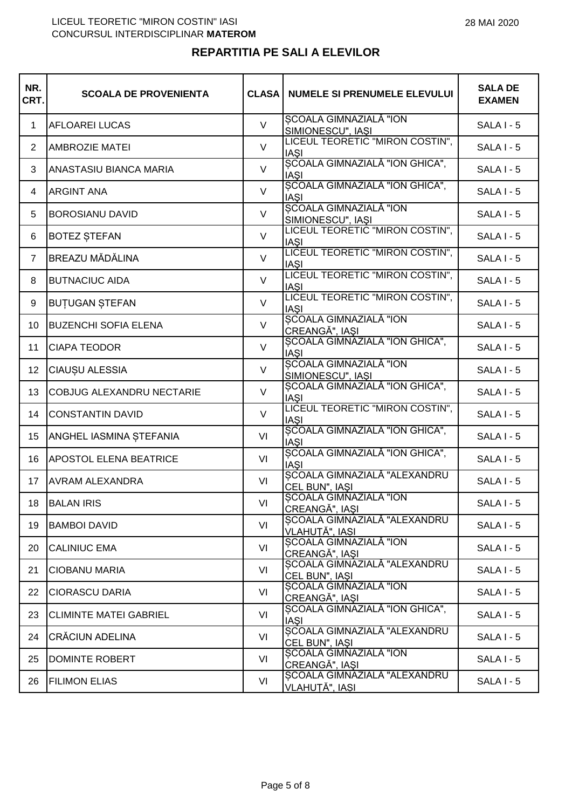## **REPARTITIA PE SALI A ELEVILOR**

| NR.<br>CRT.    | <b>SCOALA DE PROVENIENTA</b>  | <b>CLASA</b> | <b>NUMELE SI PRENUMELE ELEVULUI</b>                     | <b>SALA DE</b><br><b>EXAMEN</b> |
|----------------|-------------------------------|--------------|---------------------------------------------------------|---------------------------------|
| $\mathbf{1}$   | <b>AFLOAREI LUCAS</b>         | $\vee$       | SCOALA GIMNAZIALĂ "ION<br>SIMIONESCU", IAŞI             | <b>SALA I - 5</b>               |
| $\overline{2}$ | <b>AMBROZIE MATEI</b>         | $\vee$       | LICEUL TEORETIC "MIRON COSTIN",<br><b>IASI</b>          | <b>SALA I - 5</b>               |
| 3              | ANASTASIU BIANCA MARIA        | $\vee$       | SCOALA GIMNAZIALĂ "ION GHICA",<br><b>IAŞI</b>           | <b>SALA I - 5</b>               |
| 4              | <b>ARGINT ANA</b>             | $\vee$       | SCOALA GIMNAZIALĂ "ION GHICA",<br><b>IASI</b>           | SALA I - 5                      |
| 5              | <b>BOROSIANU DAVID</b>        | $\vee$       | <b>SCOALA GIMNAZIALĂ "ION</b><br>SIMIONESCU", IAŞI      | <b>SALA I - 5</b>               |
| 6              | <b>BOTEZ ȘTEFAN</b>           | $\vee$       | LICEUL TEORETIC "MIRON COSTIN",<br><b>IASI</b>          | <b>SALA I - 5</b>               |
| $\overline{7}$ | <b>BREAZU MĂDĂLINA</b>        | $\vee$       | LICEUL TEORETIC "MIRON COSTIN",<br><b>IASI</b>          | <b>SALA I - 5</b>               |
| 8              | <b>BUTNACIUC AIDA</b>         | $\vee$       | LICEUL TEORETIC "MIRON COSTIN",                         | <b>SALA I - 5</b>               |
| 9              | <b>BUTUGAN STEFAN</b>         | $\vee$       | IAŞI<br> LICEUL TEORETIC "MIRON COSTIN",<br><b>IASI</b> | $SALA I - 5$                    |
| 10             | <b>BUZENCHI SOFIA ELENA</b>   | $\vee$       | SCOALA GIMNAZIALĂ "ION<br>CREANGĂ", IAȘI                | <b>SALA I - 5</b>               |
| 11             | <b>CIAPA TEODOR</b>           | $\vee$       | ȘCOALA GIMNAZIALĂ "ION GHICA",<br><b>IASI</b>           | SALA I - 5                      |
| 12             | CIAUȘU ALESSIA                | $\vee$       | SCOALA GIMNAZIALĂ "ION<br>SIMIONESCU", IAŞI             | SALA I - 5                      |
| 13             | COBJUG ALEXANDRU NECTARIE     | $\vee$       | SCOALA GIMNAZIALĂ "ION GHICA",<br><b>IASI</b>           | <b>SALA I - 5</b>               |
| 14             | <b>CONSTANTIN DAVID</b>       | $\vee$       | LICEUL TEORETIC "MIRON COSTIN",<br><b>IASI</b>          | <b>SALA I - 5</b>               |
| 15             | ANGHEL IASMINA ȘTEFANIA       | VI           | SCOALA GIMNAZIALĂ "ION GHICA",<br><b>IASI</b>           | <b>SALA I - 5</b>               |
| 16             | <b>APOSTOL ELENA BEATRICE</b> | VI           | SCOALA GIMNAZIALĂ "ION GHICA",<br><b>IASI</b>           | $SALAI - 5$                     |
| 17             | <b>AVRAM ALEXANDRA</b>        | VI           | SCOALA GIMNAZIALĂ "ALEXANDRU<br>CEL BUN", IAŞI          | <b>SALA I - 5</b>               |
| 18             | <b>BALAN IRIS</b>             | VI           | SCOALA GIMNAZIALĂ "ION<br>CREANGĂ", IAȘI                | $SALAI - 5$                     |
| 19             | <b>BAMBOI DAVID</b>           | VI           | SCOALA GIMNAZIALĂ "ALEXANDRU<br>VLAHUTĂ", IASI          | SALA I - 5                      |
| 20             | <b>CALINIUC EMA</b>           | VI           | SCOALA GIMNAZIALĂ "ION<br>CREANGĂ", IAȘI                | $SALAI - 5$                     |
| 21             | <b>CIOBANU MARIA</b>          | VI           | SCOALA GIMNAZIALĂ "ALEXANDRU<br>CEL BUN", IASI          | SALA I - 5                      |
| 22             | <b>CIORASCU DARIA</b>         | VI           | <b>SCOALA GIMNAZIALĂ "ION</b><br>CREANGĂ", IAȘI         | SALA I - 5                      |
| 23             | <b>CLIMINTE MATEI GABRIEL</b> | VI           | SCOALA GIMNAZIALĂ "ION GHICA",<br><b>IASI</b>           | $SALAI - 5$                     |
| 24             | CRĂCIUN ADELINA               | VI           | SCOALA GIMNAZIALĂ "ALEXANDRU<br>CEL BUN", IAŞI          | SALA I - 5                      |
| 25             | <b>DOMINTE ROBERT</b>         | VI           | SCOALA GIMNAZIALĂ "ION<br>CREANGĂ", IAȘI                | SALA I - 5                      |
| 26             | <b>FILIMON ELIAS</b>          | VI           | SCOALA GIMNAZIALĂ "ALEXANDRU<br>VLAHUȚĂ", IAȘI          | SALA I - 5                      |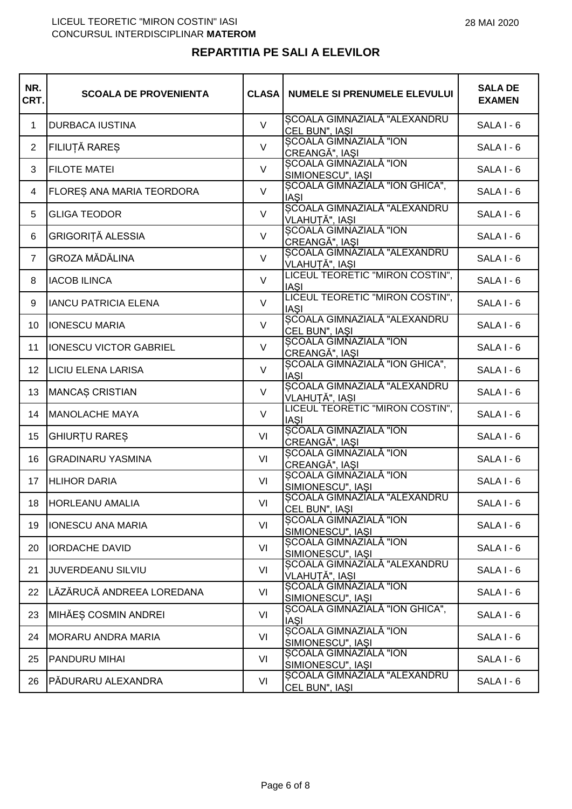## **REPARTITIA PE SALI A ELEVILOR**

| NR.<br>CRT.    | <b>SCOALA DE PROVENIENTA</b>  | <b>CLASA</b> | <b>NUMELE SI PRENUMELE ELEVULUI</b>                                        | <b>SALA DE</b><br><b>EXAMEN</b> |
|----------------|-------------------------------|--------------|----------------------------------------------------------------------------|---------------------------------|
| $\mathbf{1}$   | <b>DURBACA IUSTINA</b>        | $\vee$       | SCOALA GIMNAZIALĂ "ALEXANDRU<br>CEL BUN", IAŞI                             | SALA I - 6                      |
| $\overline{2}$ | FILIUȚĂ RAREȘ                 | $\vee$       | <b>SCOALA GIMNAZIALĂ "ION</b><br>CREANGĂ", IAȘI                            | SALA I - 6                      |
| 3              | <b>FILOTE MATEI</b>           | $\vee$       | SCOALA GIMNAZIALĂ "ION<br>SIMIONESCU", IAŞI                                | SALA I - 6                      |
| 4              | FLORES ANA MARIA TEORDORA     | $\vee$       | SCOALA GIMNAZIALĂ "ION GHICA",<br><b>IASI</b>                              | SALA I - 6                      |
| 5              | <b>GLIGA TEODOR</b>           | $\vee$       | SCOALA GIMNAZIALĂ "ALEXANDRU<br>VLAHUTĂ", IASI                             | SALA I - 6                      |
| 6              | GRIGORIȚĂ ALESSIA             | V            | SCOALA GIMNAZIALĂ "ION<br>CREANGĂ", IAȘI                                   | SALA I - 6                      |
| $\overline{7}$ | <b>GROZA MĂDĂLINA</b>         | $\vee$       | SCOALA GIMNAZIALĂ "ALEXANDRU                                               | SALA I - 6                      |
| 8              | <b>IACOB ILINCA</b>           | $\vee$       | <u> VLAHUTĂ", IASI<br/> LICEUL TEORETIC "MIRON COSTIN",</u><br><b>IAŞI</b> | SALA I - 6                      |
| 9              | <b>IANCU PATRICIA ELENA</b>   | $\vee$       | LICEUL TEORETIC "MIRON COSTIN",<br><b>IASI</b>                             | SALA I - 6                      |
| 10             | <b>IONESCU MARIA</b>          | $\vee$       | SCOALA GIMNAZIALĂ "ALEXANDRU<br>CEL BUN", IAŞI                             | SALA I - 6                      |
| 11             | <b>IONESCU VICTOR GABRIEL</b> | $\vee$       | SCOALA GIMNAZIALĂ "ION<br>CREANGĂ", IAȘI                                   | SALA I - 6                      |
| 12             | <b>LICIU ELENA LARISA</b>     | $\vee$       | SCOALA GIMNAZIALĂ "ION GHICA",<br><b>IASI</b>                              | SALA I - 6                      |
| 13             | <b>MANCAS CRISTIAN</b>        | $\vee$       | SCOALA GIMNAZIALĂ "ALEXANDRU<br><b>VLAHUTĂ", IASI</b>                      | SALA I - 6                      |
| 14             | <b>MANOLACHE MAYA</b>         | $\vee$       | LICEUL TEORETIC "MIRON COSTIN",<br><b>IASI</b>                             | SALA I - 6                      |
| 15             | GHIURȚU RAREȘ                 | VI           | SCOALA GIMNAZIALĂ "ION<br>CREANGĂ", IAȘI                                   | SALA I - 6                      |
| 16             | <b>GRADINARU YASMINA</b>      | VI           | SCOALA GIMNAZIALĂ "ION<br>CREANGĂ", IAȘI                                   | SALA I - 6                      |
| 17             | <b>HLIHOR DARIA</b>           | VI           | <b>SCOALA GIMNAZIALĂ "ION</b><br>SIMIONESCU", IAŞI                         | SALA I - 6                      |
| 18             | <b>HORLEANU AMALIA</b>        | VI           | SCOALA GIMNAZIALĂ "ALEXANDRU<br>CEL BUN", IASI                             | SALA I - 6                      |
| 19             | <b>IONESCU ANA MARIA</b>      | VI           | SCOALA GIMNAZIALĂ "ION<br>SIMIONESCU", IAŞI                                | SALA I - 6                      |
| 20             | <b>IORDACHE DAVID</b>         | VI           | SCOALA GIMNAZIALĂ "ION<br>SIMIONESCU", IAŞI                                | SALA I - 6                      |
| 21             | <b>JUVERDEANU SILVIU</b>      | VI           | SCOALA GIMNAZIALĂ "ALEXANDRU<br>VLAHUTĂ", IASI                             | SALA I - 6                      |
| 22             | LĂZĂRUCĂ ANDREEA LOREDANA     | VI           | SCOALA GIMNAZIALĂ "ION<br>SIMIONESCU", IAŞI                                | SALA I - 6                      |
| 23             | MIHĂEȘ COSMIN ANDREI          | VI           | SCOALA GIMNAZIALĂ "ION GHICA",<br><b>IAŞI</b>                              | SALA I - 6                      |
| 24             | MORARU ANDRA MARIA            | VI           | SCOALA GIMNAZIALĂ "ION<br>SIMIONESCU", IAŞI                                | SALA I - 6                      |
| 25             | <b>PANDURU MIHAI</b>          | VI           | SCOALA GIMNAZIALĂ "ION<br>SIMIONESCU", IAŞI                                | SALA I - 6                      |
| 26             | PĂDURARU ALEXANDRA            | VI           | <b>SCOALA GIMNAZIALĂ "ALEXANDRU</b><br>CEL BUN", IAŞI                      | SALA I - 6                      |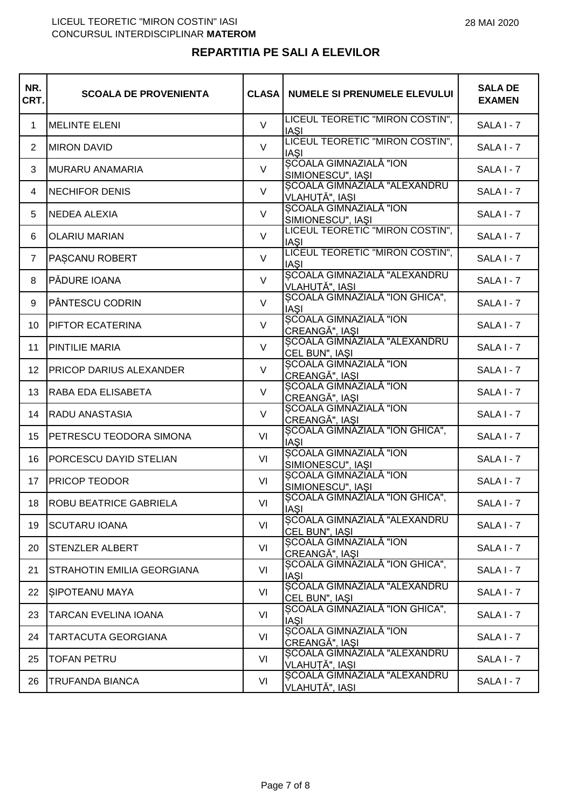# **REPARTITIA PE SALI A ELEVILOR**

| NR.<br>CRT.    | <b>SCOALA DE PROVENIENTA</b> | <b>CLASA</b> | <b>NUMELE SI PRENUMELE ELEVULUI</b>                | <b>SALA DE</b><br><b>EXAMEN</b> |
|----------------|------------------------------|--------------|----------------------------------------------------|---------------------------------|
| 1              | <b>MELINTE ELENI</b>         | $\vee$       | LICEUL TEORETIC "MIRON COSTIN",<br><b>IASI</b>     | SALA I - 7                      |
| 2              | <b>MIRON DAVID</b>           | $\vee$       | LICEUL TEORETIC "MIRON COSTIN",<br><b>IASI</b>     | SALA I - 7                      |
| 3              | MURARU ANAMARIA              | $\vee$       | <b>SCOALA GIMNAZIALĂ "ION</b><br>SIMIONESCU", IAŞI | $SALA I - 7$                    |
| 4              | <b>NECHIFOR DENIS</b>        | $\vee$       | SCOALA GIMNAZIALĂ "ALEXANDRU<br>VLAHUTĂ", IASI     | SALA I - 7                      |
| 5              | <b>NEDEA ALEXIA</b>          | $\vee$       | SCOALA GIMNAZIALĂ "ION<br>SIMIONESCU", IAŞI        | SALA I - 7                      |
| 6              | <b>OLARIU MARIAN</b>         | $\vee$       | LICEUL TEORETIC "MIRON COSTIN",<br><b>IASI</b>     | SALA I - 7                      |
| $\overline{7}$ | PASCANU ROBERT               | $\vee$       | LICEUL TEORETIC "MIRON COSTIN",<br><b>IASI</b>     | SALA I - 7                      |
| 8              | PĂDURE IOANA                 | $\vee$       | SCOALA GIMNAZIALĂ "ALEXANDRU<br>VLAHUȚĂ", IAȘI     | SALA I - 7                      |
| 9              | PÂNTESCU CODRIN              | $\vee$       | SCOALA GIMNAZIALĂ "ION GHICA",<br><b>IASI</b>      | SALA I - 7                      |
| 10             | PIFTOR ECATERINA             | $\vee$       | SCOALA GIMNAZIALĂ "ION<br>CREANGĂ", IASI           | SALA I - 7                      |
| 11             | PINTILIE MARIA               | $\vee$       | SCOALA GIMNAZIALĂ "ALEXANDRU<br>CEL BUN", IAŞI     | $SALA I - 7$                    |
| 12             | PRICOP DARIUS ALEXANDER      | $\vee$       | <b>SCOALA GIMNAZIALĂ "ION</b><br>CREANGĂ", IAȘI    | SALA I - 7                      |
| 13             | RABA EDA ELISABETA           | $\vee$       | <b>SCOALA GIMNAZIALĂ "ION</b><br>CREANGĂ", IAȘI    | SALA I - 7                      |
| 14             | RADU ANASTASIA               | $\vee$       | SCOALA GIMNAZIALĂ "ION<br>CREANGĂ", IAȘI           | $SALA I - 7$                    |
| 15             | PETRESCU TEODORA SIMONA      | VI           | SCOALA GIMNAZIALĂ "ION GHICA",<br><b>IASI</b>      | SALA I - 7                      |
| 16             | PORCESCU DAYID STELIAN       | VI           | SCOALA GIMNAZIALĂ "ION<br>SIMIONESCU", IAŞI        | SALA I - 7                      |
| 17             | <b>PRICOP TEODOR</b>         | VI           | SCOALA GIMNAZIALĂ "ION<br>SIMIONESCU", IAŞI        | SALA I - 7                      |
| 18             | ROBU BEATRICE GABRIELA       | VI           | SCOALA GIMNAZIALĂ "ION GHICA",<br><b>IASI</b>      | SALA I - 7                      |
| 19             | <b>SCUTARU IOANA</b>         | VI           | SCOALA GIMNAZIALĂ "ALEXANDRU<br>CEL BUN", IAŞI     | $SALA I - 7$                    |
| 20             | <b>STENZLER ALBERT</b>       | VI           | SCOALA GIMNAZIALĂ "ION<br>CREANGĂ", IAȘI           | SALA I - 7                      |
| 21             | STRAHOTIN EMILIA GEORGIANA   | VI           | SCOALA GIMNAZIALĂ "ION GHICA",<br>IAȘI             | SALA I - 7                      |
| 22             | SIPOTEANU MAYA               | VI           | SCOALA GIMNAZIALĂ "ALEXANDRU<br>CEL BUN", IAŞI     | $SALA I - 7$                    |
| 23             | TARCAN EVELINA IOANA         | VI           | SCOALA GIMNAZIALĂ "ION GHICA",<br><b>IAŞI</b>      | SALA I - 7                      |
| 24             | TARTACUTA GEORGIANA          | VI           | SCOALA GIMNAZIALĂ "ION<br>CREANGĂ", IAȘI           | SALA I - 7                      |
| 25             | <b>TOFAN PETRU</b>           | VI           | SCOALA GIMNAZIALĂ "ALEXANDRU<br>VLAHUTĂ", IASI     | SALA I - 7                      |
| 26             | TRUFANDA BIANCA              | VI           | SCOALA GIMNAZIALĂ "ALEXANDRU<br>VLAHUȚĂ", IAȘI     | SALA I - 7                      |